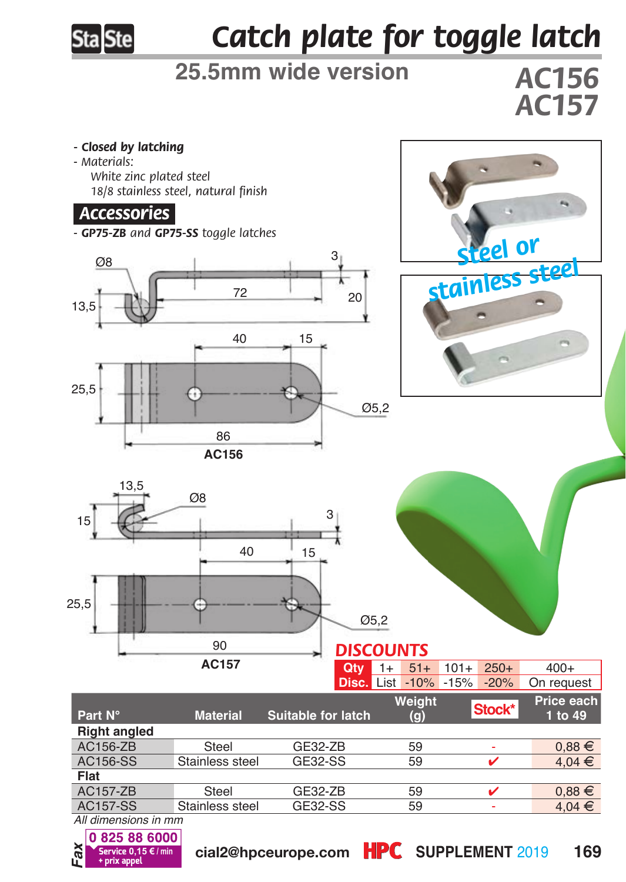

## *Catch plate for toggle latch*

## **25.5mm wide version**

*AC156 AC157*